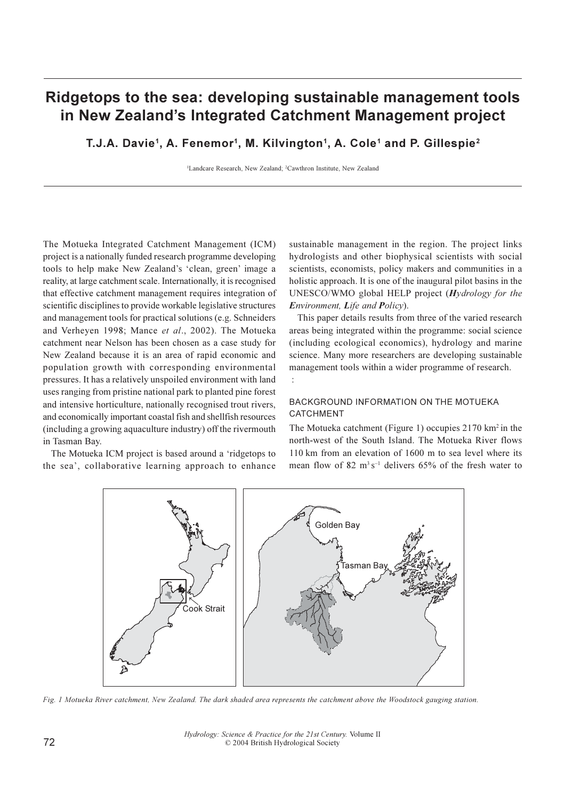# Ridgetops to the sea: developing sustainable management tools in New Zealand's Integrated Catchment Management project

T.J.A. Davie<sup>1</sup>, A. Fenemor<sup>1</sup>, M. Kilvington<sup>1</sup>, A. Cole<sup>1</sup> and P. Gillespie<sup>2</sup>

<sup>1</sup>Landcare Research, New Zealand; <sup>2</sup>Cawthron Institute, New Zealand

The Motueka Integrated Catchment Management (ICM) project is a nationally funded research programme developing tools to help make New Zealand's 'clean, green' image a reality, at large catchment scale. Internationally, it is recognised that effective catchment management requires integration of scientific disciplines to provide workable legislative structures and management tools for practical solutions (e.g. Schneiders) and Verheyen 1998; Mance et al., 2002). The Motueka catchment near Nelson has been chosen as a case study for New Zealand because it is an area of rapid economic and population growth with corresponding environmental pressures. It has a relatively unspoiled environment with land uses ranging from pristine national park to planted pine forest and intensive horticulture, nationally recognised trout rivers, and economically important coastal fish and shellfish resources (including a growing aquaculture industry) off the rivermouth in Tasman Bay.

The Motueka ICM project is based around a 'ridgetops to the sea', collaborative learning approach to enhance

sustainable management in the region. The project links hydrologists and other biophysical scientists with social scientists, economists, policy makers and communities in a holistic approach. It is one of the inaugural pilot basins in the UNESCO/WMO global HELP project (Hydrology for the Environment, Life and Policy).

This paper details results from three of the varied research areas being integrated within the programme: social science (including ecological economics), hydrology and marine science. Many more researchers are developing sustainable management tools within a wider programme of research.  $\ddot{\cdot}$ 

# BACKGROUND INFORMATION ON THE MOTUEKA CATCHMENT

The Motueka catchment (Figure 1) occupies 2170 km<sup>2</sup> in the north-west of the South Island. The Motueka River flows 110 km from an elevation of 1600 m to sea level where its mean flow of 82  $m<sup>3</sup> s<sup>-1</sup>$  delivers 65% of the fresh water to



Fig. 1 Motueka River catchment, New Zealand. The dark shaded area represents the catchment above the Woodstock gauging station.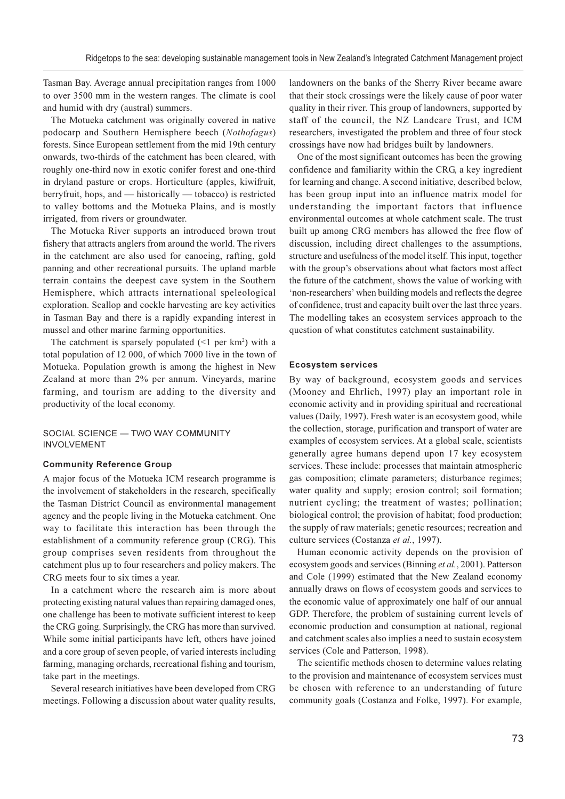Tasman Bay. Average annual precipitation ranges from 1000 to over 3500 mm in the western ranges. The climate is cool and humid with dry (austral) summers.

The Motueka catchment was originally covered in native podocarp and Southern Hemisphere beech (Nothofagus) forests. Since European settlement from the mid 19th century onwards, two-thirds of the catchment has been cleared, with roughly one-third now in exotic conifer forest and one-third in dryland pasture or crops. Horticulture (apples, kiwifruit, berryfruit, hops, and  $-$  historically  $-$  tobacco) is restricted to valley bottoms and the Motueka Plains, and is mostly irrigated, from rivers or groundwater.

The Motueka River supports an introduced brown trout fishery that attracts anglers from around the world. The rivers in the catchment are also used for canoeing, rafting, gold panning and other recreational pursuits. The upland marble terrain contains the deepest cave system in the Southern Hemisphere, which attracts international speleological exploration. Scallop and cockle harvesting are key activities in Tasman Bay and there is a rapidly expanding interest in mussel and other marine farming opportunities.

The catchment is sparsely populated  $(\leq 1$  per km<sup>2</sup>) with a total population of 12 000, of which 7000 live in the town of Motueka. Population growth is among the highest in New Zealand at more than 2% per annum. Vineyards, marine farming, and tourism are adding to the diversity and productivity of the local economy.

# SOCIAL SCIENCE - TWO WAY COMMUNITY **INVOLVEMENT**

## **Community Reference Group**

A major focus of the Motueka ICM research programme is the involvement of stakeholders in the research, specifically the Tasman District Council as environmental management agency and the people living in the Motueka catchment. One way to facilitate this interaction has been through the establishment of a community reference group (CRG). This group comprises seven residents from throughout the catchment plus up to four researchers and policy makers. The CRG meets four to six times a year.

In a catchment where the research aim is more about protecting existing natural values than repairing damaged ones, one challenge has been to motivate sufficient interest to keep the CRG going. Surprisingly, the CRG has more than survived. While some initial participants have left, others have joined and a core group of seven people, of varied interests including farming, managing orchards, recreational fishing and tourism, take part in the meetings.

Several research initiatives have been developed from CRG meetings. Following a discussion about water quality results,

landowners on the banks of the Sherry River became aware that their stock crossings were the likely cause of poor water quality in their river. This group of landowners, supported by staff of the council, the NZ Landcare Trust, and ICM researchers, investigated the problem and three of four stock crossings have now had bridges built by landowners.

One of the most significant outcomes has been the growing confidence and familiarity within the CRG, a key ingredient for learning and change. A second initiative, described below, has been group input into an influence matrix model for understanding the important factors that influence environmental outcomes at whole catchment scale. The trust built up among CRG members has allowed the free flow of discussion, including direct challenges to the assumptions, structure and usefulness of the model itself. This input, together with the group's observations about what factors most affect the future of the catchment, shows the value of working with 'non-researchers' when building models and reflects the degree of confidence, trust and capacity built over the last three years. The modelling takes an ecosystem services approach to the question of what constitutes catchment sustainability.

#### **Ecosystem services**

By way of background, ecosystem goods and services (Mooney and Ehrlich, 1997) play an important role in economic activity and in providing spiritual and recreational values (Daily, 1997). Fresh water is an ecosystem good, while the collection, storage, purification and transport of water are examples of ecosystem services. At a global scale, scientists generally agree humans depend upon 17 key ecosystem services. These include: processes that maintain atmospheric gas composition; climate parameters; disturbance regimes; water quality and supply; erosion control; soil formation; nutrient cycling; the treatment of wastes; pollination; biological control; the provision of habitat; food production; the supply of raw materials; genetic resources; recreation and culture services (Costanza et al., 1997).

Human economic activity depends on the provision of ecosystem goods and services (Binning et al., 2001). Patterson and Cole (1999) estimated that the New Zealand economy annually draws on flows of ecosystem goods and services to the economic value of approximately one half of our annual GDP. Therefore, the problem of sustaining current levels of economic production and consumption at national, regional and catchment scales also implies a need to sustain ecosystem services (Cole and Patterson, 1998).

The scientific methods chosen to determine values relating to the provision and maintenance of ecosystem services must be chosen with reference to an understanding of future community goals (Costanza and Folke, 1997). For example,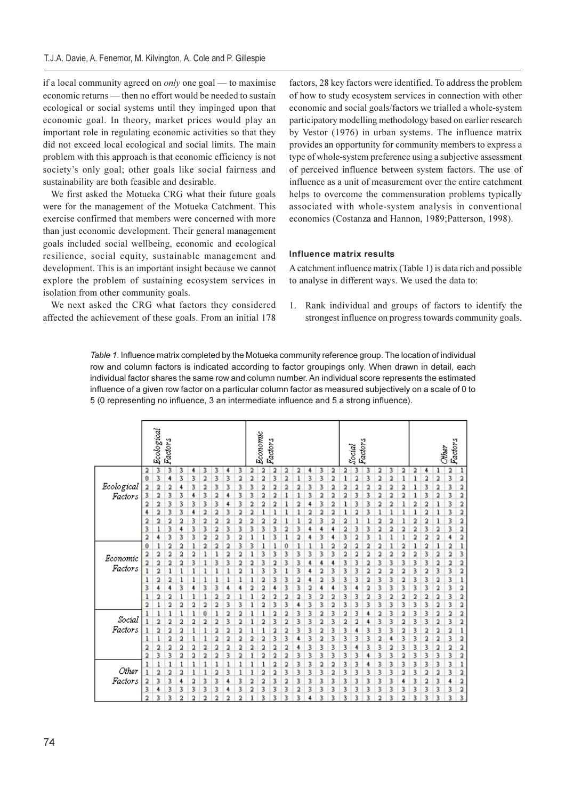if a local community agreed on *only* one goal — to maximise economic returns — then no effort would be needed to sustain ecological or social systems until they impinged upon that economic goal. In theory, market prices would play an important role in regulating economic activities so that they did not exceed local ecological and social limits. The main problem with this approach is that economic efficiency is not society's only goal; other goals like social fairness and sustainability are both feasible and desirable.

We first asked the Motueka CRG what their future goals were for the management of the Motueka Catchment. This exercise confirmed that members were concerned with more than just economic development. Their general management goals included social wellbeing, economic and ecological resilience, social equity, sustainable management and development. This is an important insight because we cannot explore the problem of sustaining ecosystem services in isolation from other community goals.

We next asked the CRG what factors they considered affected the achievement of these goals. From an initial 178

factors, 28 key factors were identified. To address the problem of how to study ecosystem services in connection with other economic and social goals/factors we trialled a whole-system participatory modelling methodology based on earlier research by Vestor (1976) in urban systems. The influence matrix provides an opportunity for community members to express a type of whole-system preference using a subjective assessment of perceived influence between system factors. The use of influence as a unit of measurement over the entire catchment helps to overcome the commensuration problems typically associated with whole-system analysis in conventional economics (Costanza and Hannon, 1989; Patterson, 1998).

# Influence matrix results

A catchment influence matrix (Table 1) is data rich and possible to analyse in different ways. We used the data to:

1. Rank individual and groups of factors to identify the strongest influence on progress towards community goals.

Table 1. Influence matrix completed by the Motueka community reference group. The location of individual row and column factors is indicated according to factor groupings only. When drawn in detail, each individual factor shares the same row and column number. An individual score represents the estimated influence of a given row factor on a particular column factor as measured subjectively on a scale of 0 to 5 (0 representing no influence, 3 an intermediate influence and 5 a strong influence).

|                       |                | Ecological | Factors |   |   |                         |   |   |   |                | Economic | <b>Factors</b> |   |    |   |   |    |   | Factors<br>Social |   |   |   |    |                |                |   | Factors<br>Other |   |
|-----------------------|----------------|------------|---------|---|---|-------------------------|---|---|---|----------------|----------|----------------|---|----|---|---|----|---|-------------------|---|---|---|----|----------------|----------------|---|------------------|---|
|                       | 2              | 3          | 3       | 3 |   | 3                       | 3 |   | 3 | 2              | 2        | 2              | 2 |    |   | з | 2  | 2 | 3                 | 3 | 2 | 3 | 2  | 2              | 4              |   | 2                |   |
| Ecological<br>Factors | 0              | 3          | 4       | 3 | 3 | $\overline{a}$          | 3 | 3 | 2 | 2              | 2        | 3              | 2 | 1  | 3 | 3 | 2  | ı | 2                 | 3 | 2 | 2 | ī  | ı              | 2              | 2 | 3                | 2 |
|                       | $\overline{a}$ | 2          | 2       | 4 | 3 | ä                       | 3 | š | з | 3              | 2        | 2              | ä | 2  | 3 | 3 | 2  | ż | ž                 | ž | 2 | 2 | 2  |                | 3              | 2 | 3                | 2 |
|                       | 3              | 2          | 3       | 3 | 4 | 3                       | 2 | 4 | 3 | 3              | 2        | 2              | 1 | ı  | 3 | 2 | 2  | 2 | 3                 | 3 | 2 | 2 | 2  | ı              | 3              | 2 | 3                | 2 |
|                       | 2              | 2          | 3       | 3 | 3 | 3                       | 3 | 4 | 3 | 2              | 2        | 2              | 1 | 2  | 4 | 3 | 2  | ı | 3                 | 3 | 2 | 2 | ı  | 2              | 2              | 1 | 3                | 2 |
|                       |                | 2          | 3       | 3 | 4 | 2                       | 2 | 3 | ž | ž              |          | ı              | ı | 1  | 2 | ž | 2  | 1 | ä                 | 3 | ı |   | ı  | ī              | $\overline{a}$ | ı | 3                | 2 |
|                       | 2              | 2          | 2       | 2 | 3 | 2                       | 2 | 2 | 2 | $\overline{a}$ | 2        | 2              |   | ı  | 2 | 3 | 2  | 2 |                   |   | 2 | 2 | ı  | $\overline{a}$ | 2              | 1 | 3                | 2 |
|                       | 3              |            | 3       | 4 | 3 | 3                       | 2 | 3 | з | з              | 3        | 3              | 2 | 3. | 4 | 4 | 4  | 2 | 3                 | 3 | 2 | 2 | 2  | 2              | 3              | ž | 3                | 2 |
|                       | 2              |            | 3       | 3 | 3 | 2                       | 2 | 3 | 2 | 1              |          | 3              | 1 | 2  | 4 | 3 | 4  | 3 | ä                 | 3 | ı | ı | ı  | 2              | 2              | 2 | 4                | 2 |
| Economic<br>Factors   | 0              |            | 2       | 2 | 1 | 2                       | 2 | 2 | 3 | з              |          | 1              | 0 | ı  | ı | ı | 2  | 2 | 2                 | 2 | 2 | 1 | 2  | 1              | 2              |   | 2                |   |
|                       | 2              | 2          | 2       | 2 | 2 | 1                       | 1 | 2 | 2 | ı              | 3        | 3              | 3 | 3  | з | 3 | 3. | 2 | 2                 | 2 | 2 | 2 | 2  | 2              | 3              | 2 | 2                | 3 |
|                       | 2              | 2          | 2       | 2 | 3 | 1                       | 3 | 3 | 2 | 2              | 3        | 2              | 3 | 3  | ٤ | 4 | 4  | 3 | 3                 | 2 | 3 | 3 | 3  | 3              | 3              | 2 | 2                | 2 |
|                       | 1              | 2          | 1       | 1 | ı | 1                       | 1 | ı | 2 | 1              | 3        | 3              | 1 | 3  | 4 | 2 | 3  | 3 | 3                 | 2 | 2 | 2 | 2  | 3.             | 2              | 3 | 3                | 2 |
|                       | 1              | 2          | 2       | 1 | 1 | 1                       | 1 |   | ı | ı              | 2        | 3              | 3 | 2  | 4 | 2 | 3  | 3 | 3                 | 2 | 3 | 3 | 2  | 3              | 3              | 2 | 3                |   |
|                       | 3              |            | 4       | 3 | 4 | 3                       | 3 |   | 4 | 2              | 2        | 4              | 3 | 3  | 2 | 4 | 4  | 3 | 4                 | 2 | 3 | 3 | 3  | 3              | 3              | 2 | 3                | 2 |
|                       | 1              | 2          | 2       | 1 | ı | 1                       | 2 | 2 | ı | ٦              | 2        | 2              | 2 | 2  | 3 | 2 | 2  | 3 | 3                 | 2 | 3 | 2 | 2  | 2              | 2              | 2 | 3                | 2 |
|                       | 2              |            | 2       | 2 | 2 | 2                       | 2 | 3 | 3 | 1              | 2        | 3              | 3 | 4  | 3 | 3 | 2  | 3 | 3                 | 3 | 3 | 3 | 3  | 3              | 3              | 2 | 3                | 2 |
| Social<br>Factors     |                |            | ı       | 1 |   | 0                       | 1 | 2 | 2 | I              |          | 2              | 2 | 3  | 3 | 2 | 3  | 2 | 3                 | 4 | 2 | 3 | 2  | 3              | 3              | 2 | 2                | 2 |
|                       | 1              | 2          | 2       | 2 | 2 | 2                       | 2 | 3 | 2 | 1              | 2        | 3              | 2 | 3  | 3 | 2 | 3  | 2 | 2                 | 4 | 3 | 3 | 2  | 3              | 3              | 2 | 3                | 2 |
|                       | 1              | ž          | 2       | 2 |   | 1                       | 2 | 2 | 2 | 1              |          | 2              | 2 | 3  | 3 | 2 | 3  | 3 | 4                 | 3 | 3 | 3 | 2  | 3              | 2              | 2 | 2                |   |
|                       | 1              |            | 2       | 2 | 1 | 1                       | 2 | 2 | 2 | 2              | 2        | 3              | 3 | 4  | 3 | 2 | 3  | 3 | 3                 | 3 | 2 | 4 | з  | 3              | 2              | 2 | 3                | 2 |
|                       | 2              | 2          | 2       | 2 | 2 | 2                       | 2 | 2 | 2 | 2              | 2        | 2              | 2 | 4  | 3 | 3 | 3  | 3 | 4                 | 3 | 3 | 2 | 3  | 3              | 3              | 2 | 2                | 2 |
|                       | ž              | 3          | 3       | 2 | 2 | $\overline{\mathbf{2}}$ | 2 | 3 | 2 | I              | 2        | 2              | 2 | 3  | 3 | š | 3  | 3 | 3                 |   | ž | ž | 2  | 3              | 3              | 3 | 3                | 2 |
| Other                 | 1              |            | 1       | 1 |   |                         | 1 |   | 1 | 1              |          | 2              | 2 | 3  | 3 | 2 | 2  | 3 | 3                 | 4 | 3 | 3 | 3  | 3              | 3              | 3 | 3                |   |
|                       | 1              | 2          | 2       | 2 | 1 | 1                       | 2 | 3 | ı | 1              | 2        | 2              | 3 | 3  | 3 | 3 | 2  | 3 | 3                 | 3 | 3 | 3 | 2  | 3              | 2              | 2 | 3                | 2 |
| Factors               | 2              | 3          | 3       | 4 | 2 | 3                       | 3 |   | 3 | 2              | 2        | 3              | 2 | 3. | 3 | 3 | 3  | 3 | 3                 | 3 | 3 | 3 |    | 3              | 2              | 3 | 4                |   |
|                       | 3              |            | 3       | 3 | 3 | 3                       | 3 | 4 | 3 | 2              | 3.       | 3              | 3 | 2  | 3 | 3 | 3. | 3 | 3                 | 3 | 3 | 3 | 3  | 3              | 3              | 3 | 3                | 2 |
|                       | 2              | R          | ż       | 2 |   | ă                       | ð |   | ñ |                | 3        | 3              | 3 | ž  |   |   | 3  | ٦ | ż                 | ٦ | ŋ |   | ŋ, | ż              | 3              | ž | ž                |   |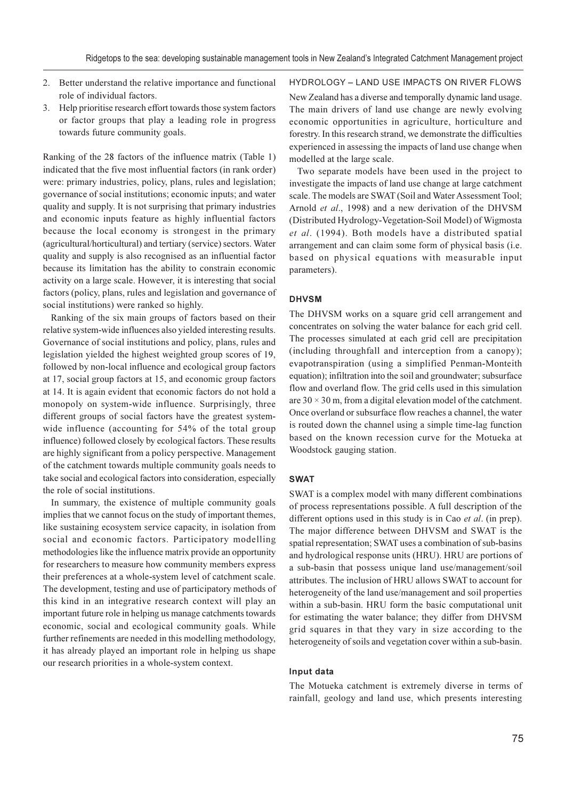- 2. Better understand the relative importance and functional role of individual factors.
- Help prioritise research effort towards those system factors  $3.$ or factor groups that play a leading role in progress towards future community goals.

Ranking of the 28 factors of the influence matrix (Table 1) indicated that the five most influential factors (in rank order) were: primary industries, policy, plans, rules and legislation; governance of social institutions; economic inputs; and water quality and supply. It is not surprising that primary industries and economic inputs feature as highly influential factors because the local economy is strongest in the primary (agricultural/horticultural) and tertiary (service) sectors. Water quality and supply is also recognised as an influential factor because its limitation has the ability to constrain economic activity on a large scale. However, it is interesting that social factors (policy, plans, rules and legislation and governance of social institutions) were ranked so highly.

Ranking of the six main groups of factors based on their relative system-wide influences also yielded interesting results. Governance of social institutions and policy, plans, rules and legislation yielded the highest weighted group scores of 19, followed by non-local influence and ecological group factors at 17, social group factors at 15, and economic group factors at 14. It is again evident that economic factors do not hold a monopoly on system-wide influence. Surprisingly, three different groups of social factors have the greatest systemwide influence (accounting for 54% of the total group influence) followed closely by ecological factors. These results are highly significant from a policy perspective. Management of the catchment towards multiple community goals needs to take social and ecological factors into consideration, especially the role of social institutions.

In summary, the existence of multiple community goals implies that we cannot focus on the study of important themes, like sustaining ecosystem service capacity, in isolation from social and economic factors. Participatory modelling methodologies like the influence matrix provide an opportunity for researchers to measure how community members express their preferences at a whole-system level of catchment scale. The development, testing and use of participatory methods of this kind in an integrative research context will play an important future role in helping us manage catchments towards economic, social and ecological community goals. While further refinements are needed in this modelling methodology, it has already played an important role in helping us shape our research priorities in a whole-system context.

## **HYDROLOGY - LAND USE IMPACTS ON RIVER FLOWS**

New Zealand has a diverse and temporally dynamic land usage. The main drivers of land use change are newly evolving economic opportunities in agriculture, horticulture and forestry. In this research strand, we demonstrate the difficulties experienced in assessing the impacts of land use change when modelled at the large scale.

Two separate models have been used in the project to investigate the impacts of land use change at large catchment scale. The models are SWAT (Soil and Water Assessment Tool; Arnold et al., 1998) and a new derivation of the DHVSM (Distributed Hydrology-Vegetation-Soil Model) of Wigmosta et al. (1994). Both models have a distributed spatial arrangement and can claim some form of physical basis (i.e. based on physical equations with measurable input parameters).

# **DHVSM**

The DHVSM works on a square grid cell arrangement and concentrates on solving the water balance for each grid cell. The processes simulated at each grid cell are precipitation (including throughfall and interception from a canopy); evapotranspiration (using a simplified Penman-Monteith equation); infiltration into the soil and groundwater; subsurface flow and overland flow. The grid cells used in this simulation are  $30 \times 30$  m, from a digital elevation model of the catchment. Once overland or subsurface flow reaches a channel, the water is routed down the channel using a simple time-lag function based on the known recession curve for the Motueka at Woodstock gauging station.

#### **SWAT**

SWAT is a complex model with many different combinations of process representations possible. A full description of the different options used in this study is in Cao et al. (in prep). The major difference between DHVSM and SWAT is the spatial representation; SWAT uses a combination of sub-basins and hydrological response units (HRU). HRU are portions of a sub-basin that possess unique land use/management/soil attributes. The inclusion of HRU allows SWAT to account for heterogeneity of the land use/management and soil properties within a sub-basin. HRU form the basic computational unit for estimating the water balance; they differ from DHVSM grid squares in that they vary in size according to the heterogeneity of soils and vegetation cover within a sub-basin.

## Input data

The Motueka catchment is extremely diverse in terms of rainfall, geology and land use, which presents interesting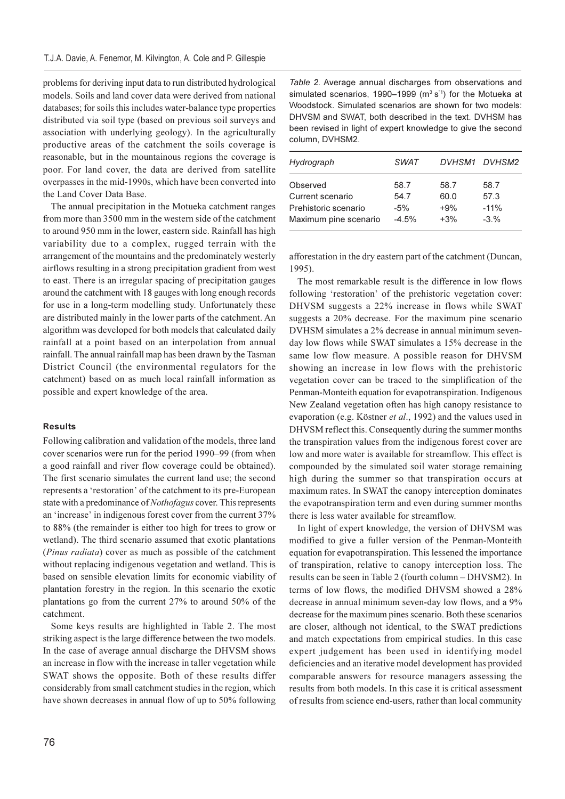problems for deriving input data to run distributed hydrological models. Soils and land cover data were derived from national databases; for soils this includes water-balance type properties distributed via soil type (based on previous soil surveys and association with underlying geology). In the agriculturally productive areas of the catchment the soils coverage is reasonable, but in the mountainous regions the coverage is poor. For land cover, the data are derived from satellite overpasses in the mid-1990s, which have been converted into the Land Cover Data Base.

The annual precipitation in the Motueka catchment ranges from more than 3500 mm in the western side of the catchment to around 950 mm in the lower, eastern side. Rainfall has high variability due to a complex, rugged terrain with the arrangement of the mountains and the predominately westerly airflows resulting in a strong precipitation gradient from west to east. There is an irregular spacing of precipitation gauges around the catchment with 18 gauges with long enough records for use in a long-term modelling study. Unfortunately these are distributed mainly in the lower parts of the catchment. An algorithm was developed for both models that calculated daily rainfall at a point based on an interpolation from annual rainfall. The annual rainfall map has been drawn by the Tasman District Council (the environmental regulators for the catchment) based on as much local rainfall information as possible and expert knowledge of the area.

## **Results**

Following calibration and validation of the models, three land cover scenarios were run for the period 1990–99 (from when a good rainfall and river flow coverage could be obtained). The first scenario simulates the current land use; the second represents a 'restoration' of the catchment to its pre-European state with a predominance of Nothofagus cover. This represents an 'increase' in indigenous forest cover from the current 37% to 88% (the remainder is either too high for trees to grow or wetland). The third scenario assumed that exotic plantations (Pinus radiata) cover as much as possible of the catchment without replacing indigenous vegetation and wetland. This is based on sensible elevation limits for economic viability of plantation forestry in the region. In this scenario the exotic plantations go from the current 27% to around 50% of the catchment.

Some keys results are highlighted in Table 2. The most striking aspect is the large difference between the two models. In the case of average annual discharge the DHVSM shows an increase in flow with the increase in taller vegetation while SWAT shows the opposite. Both of these results differ considerably from small catchment studies in the region, which have shown decreases in annual flow of up to 50% following

Table 2. Average annual discharges from observations and simulated scenarios, 1990-1999 (m<sup>3</sup> s<sup>-1</sup>) for the Motueka at Woodstock. Simulated scenarios are shown for two models: DHVSM and SWAT, both described in the text. DVHSM has been revised in light of expert knowledge to give the second column, DVHSM2.

| <b>SWAT</b> |       | DVHSM1 DVHSM2 |
|-------------|-------|---------------|
| 58.7        | 58.7  | 58.7          |
| 54.7        | 60.0  | 57.3          |
| $-5%$       | $+9%$ | $-11%$        |
| $-4.5%$     | $+3%$ | $-3.%$        |
|             |       |               |

afforestation in the dry eastern part of the catchment (Duncan,  $1995$ ).

The most remarkable result is the difference in low flows following 'restoration' of the prehistoric vegetation cover: DHVSM suggests a 22% increase in flows while SWAT suggests a 20% decrease. For the maximum pine scenario DVHSM simulates a 2% decrease in annual minimum sevenday low flows while SWAT simulates a 15% decrease in the same low flow measure. A possible reason for DHVSM showing an increase in low flows with the prehistoric vegetation cover can be traced to the simplification of the Penman-Monteith equation for evapotranspiration. Indigenous New Zealand vegetation often has high canopy resistance to evaporation (e.g. Köstner et al., 1992) and the values used in DHVSM reflect this. Consequently during the summer months the transpiration values from the indigenous forest cover are low and more water is available for streamflow. This effect is compounded by the simulated soil water storage remaining high during the summer so that transpiration occurs at maximum rates. In SWAT the canopy interception dominates the evapotranspiration term and even during summer months there is less water available for streamflow.

In light of expert knowledge, the version of DHVSM was modified to give a fuller version of the Penman-Monteith equation for evapotranspiration. This lessened the importance of transpiration, relative to canopy interception loss. The results can be seen in Table 2 (fourth column – DHVSM2). In terms of low flows, the modified DHVSM showed a 28% decrease in annual minimum seven-day low flows, and a 9% decrease for the maximum pines scenario. Both these scenarios are closer, although not identical, to the SWAT predictions and match expectations from empirical studies. In this case expert judgement has been used in identifying model deficiencies and an iterative model development has provided comparable answers for resource managers assessing the results from both models. In this case it is critical assessment of results from science end-users, rather than local community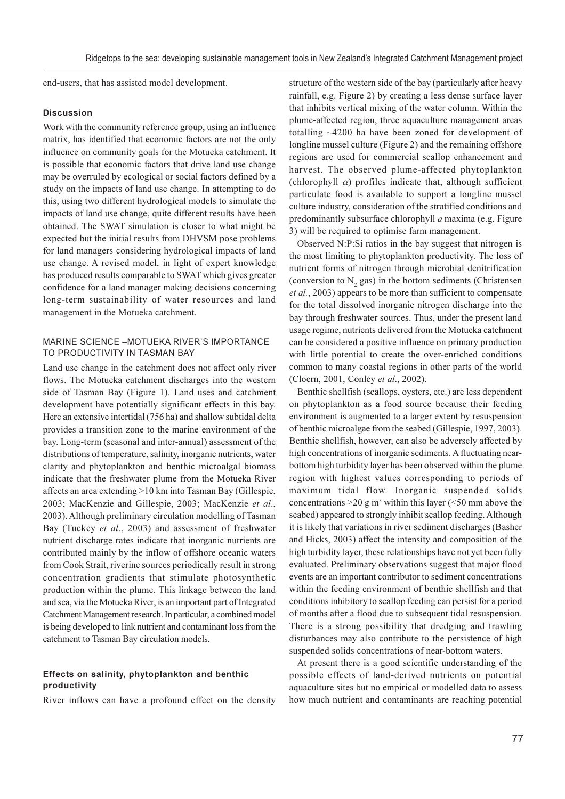end-users, that has assisted model development.

## **Discussion**

Work with the community reference group, using an influence matrix, has identified that economic factors are not the only influence on community goals for the Motueka catchment. It is possible that economic factors that drive land use change may be overruled by ecological or social factors defined by a study on the impacts of land use change. In attempting to do this, using two different hydrological models to simulate the impacts of land use change, quite different results have been obtained. The SWAT simulation is closer to what might be expected but the initial results from DHVSM pose problems for land managers considering hydrological impacts of land use change. A revised model, in light of expert knowledge has produced results comparable to SWAT which gives greater confidence for a land manager making decisions concerning long-term sustainability of water resources and land management in the Motueka catchment.

# MARINE SCIENCE - MOTUEKA RIVER'S IMPORTANCE TO PRODUCTIVITY IN TASMAN BAY

Land use change in the catchment does not affect only river flows. The Motueka catchment discharges into the western side of Tasman Bay (Figure 1). Land uses and catchment development have potentially significant effects in this bay. Here an extensive intertidal (756 ha) and shallow subtidal delta provides a transition zone to the marine environment of the bay. Long-term (seasonal and inter-annual) assessment of the distributions of temperature, salinity, inorganic nutrients, water clarity and phytoplankton and benthic microalgal biomass indicate that the freshwater plume from the Motueka River affects an area extending >10 km into Tasman Bay (Gillespie, 2003; MacKenzie and Gillespie, 2003; MacKenzie et al., 2003). Although preliminary circulation modelling of Tasman Bay (Tuckey et al., 2003) and assessment of freshwater nutrient discharge rates indicate that inorganic nutrients are contributed mainly by the inflow of offshore oceanic waters from Cook Strait, riverine sources periodically result in strong concentration gradients that stimulate photosynthetic production within the plume. This linkage between the land and sea, via the Motueka River, is an important part of Integrated Catchment Management research. In particular, a combined model is being developed to link nutrient and contaminant loss from the catchment to Tasman Bay circulation models.

## Effects on salinity, phytoplankton and benthic productivity

River inflows can have a profound effect on the density

structure of the western side of the bay (particularly after heavy rainfall, e.g. Figure 2) by creating a less dense surface layer that inhibits vertical mixing of the water column. Within the plume-affected region, three aquaculture management areas totalling  $\sim$ 4200 ha have been zoned for development of longline mussel culture (Figure 2) and the remaining offshore regions are used for commercial scallop enhancement and harvest. The observed plume-affected phytoplankton (chlorophyll  $\alpha$ ) profiles indicate that, although sufficient particulate food is available to support a longline mussel culture industry, consideration of the stratified conditions and predominantly subsurface chlorophyll  $a$  maxima (e.g. Figure 3) will be required to optimise farm management.

Observed N:P:Si ratios in the bay suggest that nitrogen is the most limiting to phytoplankton productivity. The loss of nutrient forms of nitrogen through microbial denitrification (conversion to N, gas) in the bottom sediments (Christensen et al., 2003) appears to be more than sufficient to compensate for the total dissolved inorganic nitrogen discharge into the bay through freshwater sources. Thus, under the present land usage regime, nutrients delivered from the Motueka catchment can be considered a positive influence on primary production with little potential to create the over-enriched conditions common to many coastal regions in other parts of the world (Cloern, 2001, Conley et al., 2002).

Benthic shellfish (scallops, oysters, etc.) are less dependent on phytoplankton as a food source because their feeding environment is augmented to a larger extent by resuspension of benthic microalgae from the seabed (Gillespie, 1997, 2003). Benthic shellfish, however, can also be adversely affected by high concentrations of inorganic sediments. A fluctuating nearbottom high turbidity layer has been observed within the plume region with highest values corresponding to periods of maximum tidal flow. Inorganic suspended solids concentrations > 20 g m<sup>3</sup> within this layer ( $\leq$ 50 mm above the seabed) appeared to strongly inhibit scallop feeding. Although it is likely that variations in river sediment discharges (Basher and Hicks, 2003) affect the intensity and composition of the high turbidity layer, these relationships have not yet been fully evaluated. Preliminary observations suggest that major flood events are an important contributor to sediment concentrations within the feeding environment of benthic shellfish and that conditions inhibitory to scallop feeding can persist for a period of months after a flood due to subsequent tidal resuspension. There is a strong possibility that dredging and trawling disturbances may also contribute to the persistence of high suspended solids concentrations of near-bottom waters.

At present there is a good scientific understanding of the possible effects of land-derived nutrients on potential aquaculture sites but no empirical or modelled data to assess how much nutrient and contaminants are reaching potential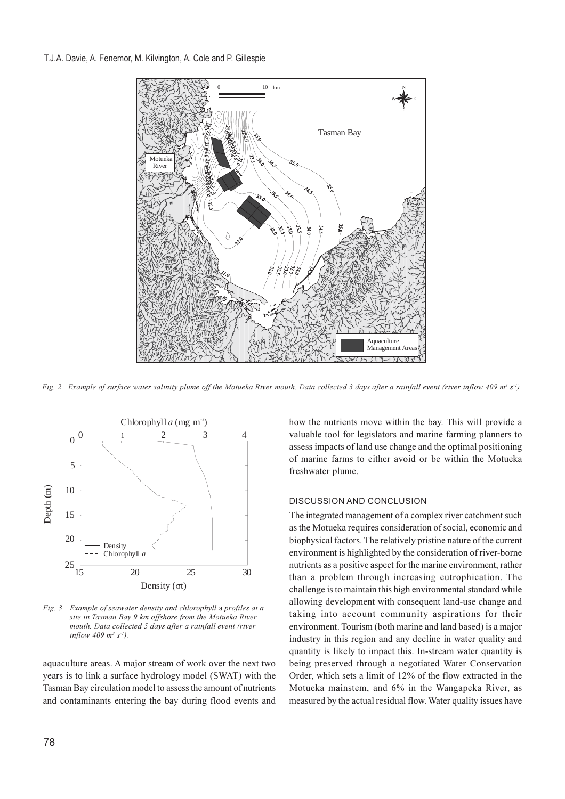

Fig. 2 Example of surface water salinity plume off the Motueka River mouth. Data collected 3 days after a rainfall event (river inflow 409 m<sup>3</sup> s<sup>-1</sup>)



Fig. 3 Example of seawater density and chlorophyll a profiles at a site in Tasman Bay 9 km offshore from the Motueka River mouth. Data collected 5 days after a rainfall event (river inflow 409  $m^3 s^{-1}$ ).

aquaculture areas. A major stream of work over the next two years is to link a surface hydrology model (SWAT) with the Tasman Bay circulation model to assess the amount of nutrients and contaminants entering the bay during flood events and how the nutrients move within the bay. This will provide a valuable tool for legislators and marine farming planners to assess impacts of land use change and the optimal positioning of marine farms to either avoid or be within the Motueka freshwater plume.

## DISCUSSION AND CONCLUSION

The integrated management of a complex river catchment such as the Motueka requires consideration of social, economic and biophysical factors. The relatively pristine nature of the current environment is highlighted by the consideration of river-borne nutrients as a positive aspect for the marine environment, rather than a problem through increasing eutrophication. The challenge is to maintain this high environmental standard while allowing development with consequent land-use change and taking into account community aspirations for their environment. Tourism (both marine and land based) is a major industry in this region and any decline in water quality and quantity is likely to impact this. In-stream water quantity is being preserved through a negotiated Water Conservation Order, which sets a limit of 12% of the flow extracted in the Motueka mainstem, and 6% in the Wangapeka River, as measured by the actual residual flow. Water quality issues have